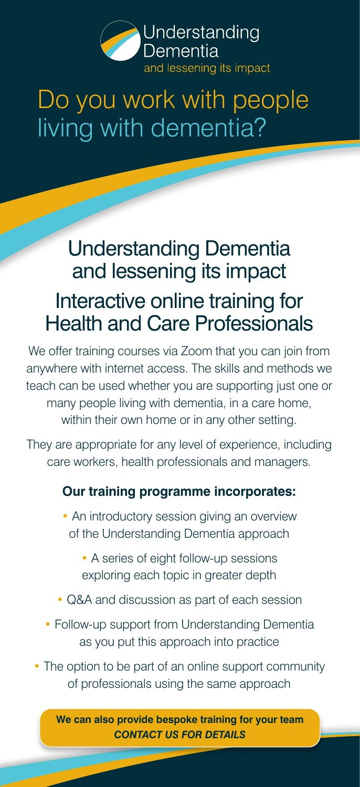

# Do you work with people living with dementia?

# Understanding Dementia and lessening its impact Interactive online training for Health and Care Professionals

We offer training courses via Zoom that you can join from anywhere with internet access. The skills and methods we teach can be used whether you are supporting just one or many people living with dementia, in a care home, within their own home or in any other setting.

They are appropriate for any level of experience, including care workers, health professionals and managers.

### **Our training programme incorporates:**

- An introductory session giving an overview of the Understanding Dementia approach
	- A series of eight follow-up sessions exploring each topic in greater depth
- Q&A and discussion as part of each session
- Follow-up support from Understanding Dementia as you put this approach into practice
- The option to be part of an online support community of professionals using the same approach

**We can also provide bespoke training for your team** *CONTACT US FOR DETAILS*